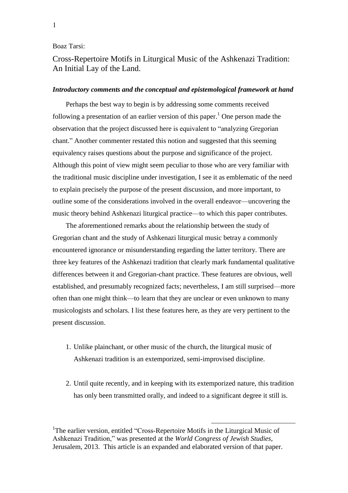### Boaz Tarsi:

Cross-Repertoire Motifs in Liturgical Music of the Ashkenazi Tradition: An Initial Lay of the Land.

### *Introductory comments and the conceptual and epistemological framework at hand*

Perhaps the best way to begin is by addressing some comments received following a presentation of an earlier version of this paper.<sup>1</sup> One person made the observation that the project discussed here is equivalent to "analyzing Gregorian chant." Another commenter restated this notion and suggested that this seeming equivalency raises questions about the purpose and significance of the project. Although this point of view might seem peculiar to those who are very familiar with the traditional music discipline under investigation, I see it as emblematic of the need to explain precisely the purpose of the present discussion, and more important, to outline some of the considerations involved in the overall endeavor—uncovering the music theory behind Ashkenazi liturgical practice—to which this paper contributes.

The aforementioned remarks about the relationship between the study of Gregorian chant and the study of Ashkenazi liturgical music betray a commonly encountered ignorance or misunderstanding regarding the latter territory. There are three key features of the Ashkenazi tradition that clearly mark fundamental qualitative differences between it and Gregorian-chant practice. These features are obvious, well established, and presumably recognized facts; nevertheless, I am still surprised—more often than one might think—to learn that they are unclear or even unknown to many musicologists and scholars. I list these features here, as they are very pertinent to the present discussion.

- 1. Unlike plainchant, or other music of the church, the liturgical music of Ashkenazi tradition is an extemporized, semi-improvised discipline.
- 2. Until quite recently, and in keeping with its extemporized nature, this tradition has only been transmitted orally, and indeed to a significant degree it still is.

<u>.</u>

<sup>1</sup>The earlier version, entitled "Cross-Repertoire Motifs in the Liturgical Music of Ashkenazi Tradition," was presented at the *World Congress of Jewish Studies*, Jerusalem, 2013. This article is an expanded and elaborated version of that paper.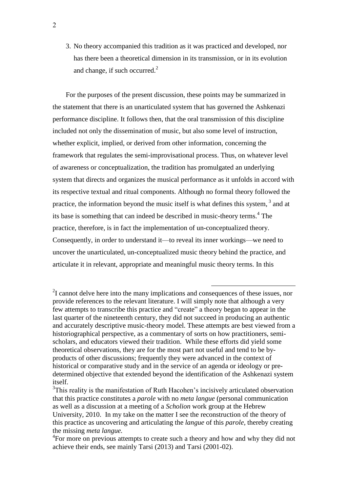3. No theory accompanied this tradition as it was practiced and developed, nor has there been a theoretical dimension in its transmission, or in its evolution and change, if such occurred. $<sup>2</sup>$ </sup>

For the purposes of the present discussion, these points may be summarized in the statement that there is an unarticulated system that has governed the Ashkenazi performance discipline. It follows then, that the oral transmission of this discipline included not only the dissemination of music, but also some level of instruction, whether explicit, implied, or derived from other information, concerning the framework that regulates the semi-improvisational process. Thus, on whatever level of awareness or conceptualization, the tradition has promulgated an underlying system that directs and organizes the musical performance as it unfolds in accord with its respective textual and ritual components. Although no formal theory followed the practice, the information beyond the music itself is what defines this system, <sup>3</sup> and at its base is something that can indeed be described in music-theory terms.<sup>4</sup> The practice, therefore, is in fact the implementation of un-conceptualized theory. Consequently, in order to understand it—to reveal its inner workings—we need to uncover the unarticulated, un-conceptualized music theory behind the practice, and articulate it in relevant, appropriate and meaningful music theory terms. In this

<u>.</u>

 $2I$  cannot delve here into the many implications and consequences of these issues, nor provide references to the relevant literature. I will simply note that although a very few attempts to transcribe this practice and "create" a theory began to appear in the last quarter of the nineteenth century, they did not succeed in producing an authentic and accurately descriptive music-theory model. These attempts are best viewed from a historiographical perspective, as a commentary of sorts on how practitioners, semischolars, and educators viewed their tradition. While these efforts did yield some theoretical observations, they are for the most part not useful and tend to be byproducts of other discussions; frequently they were advanced in the context of historical or comparative study and in the service of an agenda or ideology or predetermined objective that extended beyond the identification of the Ashkenazi system itself.

 $3$ This reality is the manifestation of Ruth Hacohen's incisively articulated observation that this practice constitutes a *parole* with no *meta langue* (personal communication as well as a discussion at a meeting of a *Scholion* work group at the Hebrew University, 2010. In my take on the matter I see the reconstruction of the theory of this practice as uncovering and articulating the *langue* of this *parole,* thereby creating the missing *meta langue.*

<sup>&</sup>lt;sup>4</sup>For more on previous attempts to create such a theory and how and why they did not achieve their ends, see mainly Tarsi (2013) and Tarsi (2001-02).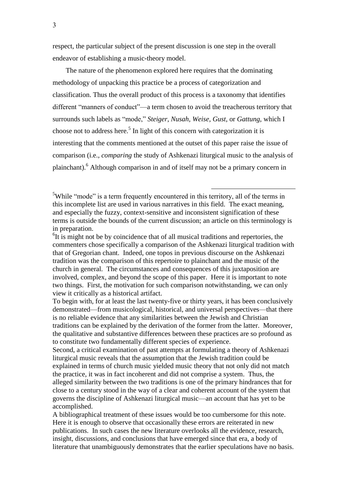respect, the particular subject of the present discussion is one step in the overall endeavor of establishing a music-theory model.

The nature of the phenomenon explored here requires that the dominating methodology of unpacking this practice be a process of categorization and classification. Thus the overall product of this process is a taxonomy that identifies different "manners of conduct"—a term chosen to avoid the treacherous territory that surrounds such labels as "mode," *Steiger, Nusah, Weise, Gust,* or *Gattung*, which I choose not to address here. 5 In light of this concern with categorization it is interesting that the comments mentioned at the outset of this paper raise the issue of comparison (i.e., *comparing* the study of Ashkenazi liturgical music to the analysis of plainchant).<sup>6</sup> Although comparison in and of itself may not be a primary concern in

<sup>5</sup>While "mode" is a term frequently encountered in this territory, all of the terms in this incomplete list are used in various narratives in this field. The exact meaning, and especially the fuzzy, context-sensitive and inconsistent signification of these terms is outside the bounds of the current discussion; an article on this terminology is in preparation.

<u>.</u>

 ${}^{6}$ It is might not be by coincidence that of all musical traditions and repertories, the commenters chose specifically a comparison of the Ashkenazi liturgical tradition with that of Gregorian chant. Indeed, one topos in previous discourse on the Ashkenazi tradition was the comparison of this repertoire to plainchant and the music of the church in general. The circumstances and consequences of this juxtaposition are involved, complex, and beyond the scope of this paper. Here it is important to note two things. First, the motivation for such comparison notwithstanding, we can only view it critically as a historical artifact.

To begin with, for at least the last twenty-five or thirty years, it has been conclusively demonstrated—from musicological, historical, and universal perspectives—that there is no reliable evidence that any similarities between the Jewish and Christian traditions can be explained by the derivation of the former from the latter. Moreover, the qualitative and substantive differences between these practices are so profound as to constitute two fundamentally different species of experience.

Second, a critical examination of past attempts at formulating a theory of Ashkenazi liturgical music reveals that the assumption that the Jewish tradition could be explained in terms of church music yielded music theory that not only did not match the practice, it was in fact incoherent and did not comprise a system. Thus, the alleged similarity between the two traditions is one of the primary hindrances that for close to a century stood in the way of a clear and coherent account of the system that governs the discipline of Ashkenazi liturgical music—an account that has yet to be accomplished.

A bibliographical treatment of these issues would be too cumbersome for this note. Here it is enough to observe that occasionally these errors are reiterated in new publications. In such cases the new literature overlooks all the evidence, research, insight, discussions, and conclusions that have emerged since that era, a body of literature that unambiguously demonstrates that the earlier speculations have no basis.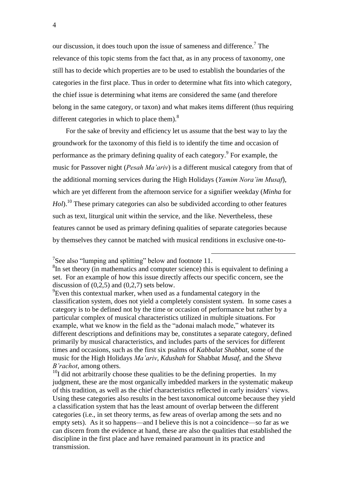our discussion, it does touch upon the issue of sameness and difference.<sup>7</sup> The relevance of this topic stems from the fact that, as in any process of taxonomy, one still has to decide which properties are to be used to establish the boundaries of the categories in the first place. Thus in order to determine what fits into which category, the chief issue is determining what items are considered the same (and therefore belong in the same category, or taxon) and what makes items different (thus requiring different categories in which to place them). $^{8}$ 

For the sake of brevity and efficiency let us assume that the best way to lay the groundwork for the taxonomy of this field is to identify the time and occasion of performance as the primary defining quality of each category.<sup>9</sup> For example, the music for Passover night (*Pesah Ma'ariv*) is a different musical category from that of the additional morning services during the High Holidays (*Yamim Nora'im Musaf*), which are yet different from the afternoon service for a signifier weekday (*Minha* for *Hol*).<sup>10</sup> These primary categories can also be subdivided according to other features such as text, liturgical unit within the service, and the like. Nevertheless, these features cannot be used as primary defining qualities of separate categories because by themselves they cannot be matched with musical renditions in exclusive one-to-

<sup>&</sup>lt;sup>7</sup>See also "lumping and splitting" below and footnote 11.

<sup>&</sup>lt;sup>8</sup>In set theory (in mathematics and computer science) this is equivalent to defining a set. For an example of how this issue directly affects our specific concern, see the discussion of  $(0.2.5)$  and  $(0.2.7)$  sets below.

 ${}^{9}$ Even this contextual marker, when used as a fundamental category in the classification system, does not yield a completely consistent system. In some cases a category is to be defined not by the time or occasion of performance but rather by a particular complex of musical characteristics utilized in multiple situations. For example, what we know in the field as the "adonai malach mode," whatever its different descriptions and definitions may be, constitutes a separate category, defined primarily by musical characteristics, and includes parts of the services for different times and occasions, such as the first six psalms of *Kabbalat Shabbat*, some of the music for the High Holidays *Ma'ariv*, *Kdushah* for Shabbat *Musaf*, and the *Sheva B'rachot*, among others.

 $10<sup>10</sup>$ I did not arbitrarily choose these qualities to be the defining properties. In my judgment, these are the most organically imbedded markers in the systematic makeup of this tradition, as well as the chief characteristics reflected in early insiders' views. Using these categories also results in the best taxonomical outcome because they yield a classification system that has the least amount of overlap between the different categories (i.e., in set theory terms, as few areas of overlap among the sets and no empty sets). As it so happens—and I believe this is not a coincidence—so far as we can discern from the evidence at hand, these are also the qualities that established the discipline in the first place and have remained paramount in its practice and transmission.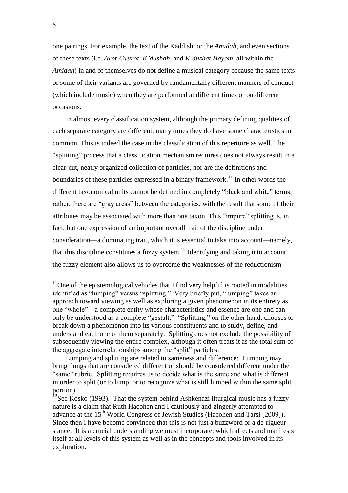one pairings. For example, the text of the Kaddish, or the *Amidah*, and even sections of these texts (i.e. *Avot-Gvurot*, *K'dushah*, and *K'dushat Hayom*, all within the *Amidah*) in and of themselves do not define a musical category because the same texts or some of their variants are governed by fundamentally different manners of conduct (which include music) when they are performed at different times or on different occasions.

In almost every classification system, although the primary defining qualities of each separate category are different, many times they do have some characteristics in common. This is indeed the case in the classification of this repertoire as well. The "splitting" process that a classification mechanism requires does not always result in a clear-cut, neatly organized collection of particles, nor are the definitions and boundaries of these particles expressed in a binary framework.<sup>11</sup> In other words the different taxonomical units cannot be defined in completely "black and white" terms; rather, there are "gray areas" between the categories, with the result that some of their attributes may be associated with more than one taxon. This "impure" splitting is, in fact, but one expression of an important overall trait of the discipline under consideration—a dominating trait, which it is essential to take into account—namely, that this discipline constitutes a fuzzy system.<sup>12</sup> Identifying and taking into account the fuzzy element also allows us to overcome the weaknesses of the reductionism

<u>.</u>

 $11$ One of the epistemological vehicles that I find very helpful is rooted in modalities identified as "lumping" versus "splitting." Very briefly put, "lumping" takes an approach toward viewing as well as exploring a given phenomenon in its entirety as one "whole"—a complete entity whose characteristics and essence are one and can only be understood as a complete "gestalt." "Splitting," on the other hand, chooses to break down a phenomenon into its various constituents and to study, define, and understand each one of them separately. Splitting does not exclude the possibility of subsequently viewing the entire complex, although it often treats it as the total sum of the aggregate interrelationships among the "split" particles.

Lumping and splitting are related to sameness and difference: Lumping may bring things that are considered different or should be considered different under the "same" rubric. Splitting requires us to decide what is the same and what is different in order to split (or to lump, or to recognize what is still lumped within the same split portion).

<sup>&</sup>lt;sup>12</sup>See Kosko (1993). That the system behind Ashkenazi liturgical music has a fuzzy nature is a claim that Ruth Hacohen and I cautiously and gingerly attempted to advance at the 15<sup>th</sup> World Congress of Jewish Studies (Hacohen and Tarsi [2009]). Since then I have become convinced that this is not just a buzzword or a de-rigueur stance. It is a crucial understanding we must incorporate, which affects and manifests itself at all levels of this system as well as in the concepts and tools involved in its exploration.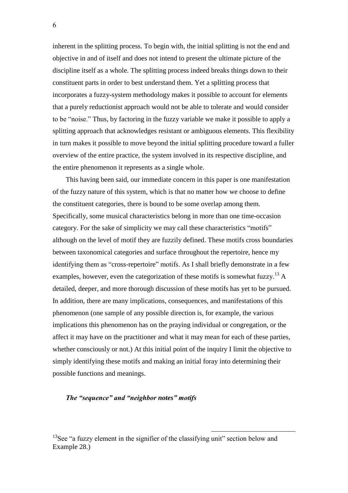inherent in the splitting process. To begin with, the initial splitting is not the end and objective in and of itself and does not intend to present the ultimate picture of the discipline itself as a whole. The splitting process indeed breaks things down to their constituent parts in order to best understand them. Yet a splitting process that incorporates a fuzzy-system methodology makes it possible to account for elements that a purely reductionist approach would not be able to tolerate and would consider to be "noise." Thus, by factoring in the fuzzy variable we make it possible to apply a splitting approach that acknowledges resistant or ambiguous elements. This flexibility in turn makes it possible to move beyond the initial splitting procedure toward a fuller overview of the entire practice, the system involved in its respective discipline, and the entire phenomenon it represents as a single whole.

This having been said, our immediate concern in this paper is one manifestation of the fuzzy nature of this system, which is that no matter how we choose to define the constituent categories, there is bound to be some overlap among them. Specifically, some musical characteristics belong in more than one time-occasion category. For the sake of simplicity we may call these characteristics "motifs" although on the level of motif they are fuzzily defined. These motifs cross boundaries between taxonomical categories and surface throughout the repertoire, hence my identifying them as "cross-repertoire" motifs. As I shall briefly demonstrate in a few examples, however, even the categorization of these motifs is somewhat fuzzy.<sup>13</sup> A detailed, deeper, and more thorough discussion of these motifs has yet to be pursued. In addition, there are many implications, consequences, and manifestations of this phenomenon (one sample of any possible direction is, for example, the various implications this phenomenon has on the praying individual or congregation, or the affect it may have on the practitioner and what it may mean for each of these parties, whether consciously or not.) At this initial point of the inquiry I limit the objective to simply identifying these motifs and making an initial foray into determining their possible functions and meanings.

#### *The "sequence" and "neighbor notes" motifs*

 $13$ See "a fuzzy element in the signifier of the classifying unit" section below and Example 28.)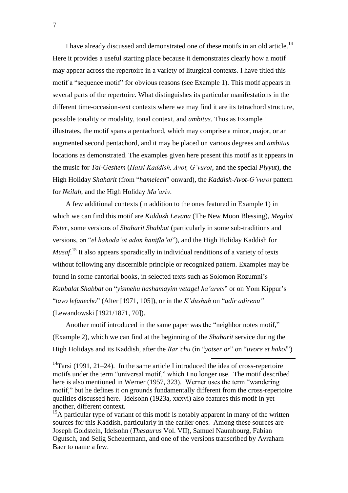I have already discussed and demonstrated one of these motifs in an old article.<sup>14</sup> Here it provides a useful starting place because it demonstrates clearly how a motif may appear across the repertoire in a variety of liturgical contexts. I have titled this motif a "sequence motif" for obvious reasons (see Example 1). This motif appears in several parts of the repertoire. What distinguishes its particular manifestations in the different time-occasion-text contexts where we may find it are its tetrachord structure, possible tonality or modality, tonal context, and *ambitus*. Thus as Example 1 illustrates, the motif spans a pentachord, which may comprise a minor, major, or an augmented second pentachord, and it may be placed on various degrees and *ambitus* locations as demonstrated. The examples given here present this motif as it appears in the music for *Tal-Geshem* (*Hatsi Kaddish, Avot, G'vurot*, and the special *Piyyut*), the High Holiday *Shaharit* (from "*hamelech*" onward), the *Kaddish-Avot-G'vurot* pattern for *Neilah*, and the High Holiday *Ma'ariv*.

A few additional contexts (in addition to the ones featured in Example 1) in which we can find this motif are *Kiddush Levana* (The New Moon Blessing), *Megilat Ester*, some versions of *Shaharit Shabbat* (particularly in some sub-traditions and versions, on "*el hahoda'ot adon hanifla'ot*"), and the High Holiday Kaddish for *Musaf*.<sup>15</sup> It also appears sporadically in individual renditions of a variety of texts without following any discernible principle or recognized pattern. Examples may be found in some cantorial books, in selected texts such as Solomon Rozumni's *Kabbalat Shabbat* on "*yismehu hashamayim vetagel ha'arets*" or on Yom Kippur's "*tavo lefanecho*" (Alter [1971, 105]), or in the *K'dushah* on "*adir adirenu"* (Lewandowski [1921/1871, 70]).

Another motif introduced in the same paper was the "neighbor notes motif," (Example 2), which we can find at the beginning of the *Shaharit* service during the High Holidays and its Kaddish, after the *Bar'chu* (in "*yotser or*" on "*uvore et hakol*")

1

<sup>14</sup>Tarsi (1991, 21–24). In the same article I introduced the idea of cross-repertoire motifs under the term "universal motif," which I no longer use. The motif described here is also mentioned in Werner (1957, 323). Werner uses the term "wandering motif," but he defines it on grounds fundamentally different from the cross-repertoire qualities discussed here. Idelsohn (1923a, xxxvi) also features this motif in yet another, different context.

 $15A$  particular type of variant of this motif is notably apparent in many of the written sources for this Kaddish, particularly in the earlier ones. Among these sources are Joseph Goldstein, Idelsohn (*Thesaurus* Vol. VII), Samuel Naumbourg, Fabian Ogutsch, and Selig Scheuermann, and one of the versions transcribed by Avraham Baer to name a few.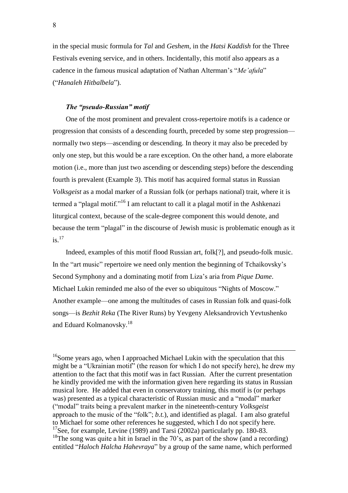in the special music formula for *Tal* and *Geshem*, in the *Hatsi Kaddish* for the Three Festivals evening service, and in others. Incidentally, this motif also appears as a cadence in the famous musical adaptation of Nathan Alterman's "*Me'afula*" ("*Hanaleh Hitbalbela*").

# *The "pseudo-Russian" motif*

One of the most prominent and prevalent cross-repertoire motifs is a cadence or progression that consists of a descending fourth, preceded by some step progression normally two steps—ascending or descending. In theory it may also be preceded by only one step, but this would be a rare exception. On the other hand, a more elaborate motion (i.e., more than just two ascending or descending steps) before the descending fourth is prevalent (Example 3). This motif has acquired formal status in Russian *Volksgeist* as a modal marker of a Russian folk (or perhaps national) trait, where it is termed a "plagal motif."<sup>16</sup> I am reluctant to call it a plagal motif in the Ashkenazi liturgical context, because of the scale-degree component this would denote, and because the term "plagal" in the discourse of Jewish music is problematic enough as it  $i$ s.<sup>17</sup>

Indeed, examples of this motif flood Russian art, folk[?], and pseudo-folk music. In the "art music" repertoire we need only mention the beginning of Tchaikovsky's Second Symphony and a dominating motif from Liza's aria from *Pique Dame*. Michael Lukin reminded me also of the ever so ubiquitous "Nights of Moscow." Another example—one among the multitudes of cases in Russian folk and quasi-folk songs—is *Bezhit Reka* (The River Runs) by Yevgeny Aleksandrovich Yevtushenko and Eduard Kolmanovsky.<sup>18</sup>

<sup>16</sup>Some years ago, when I approached Michael Lukin with the speculation that this might be a "Ukrainian motif" (the reason for which I do not specify here), he drew my attention to the fact that this motif was in fact Russian. After the current presentation he kindly provided me with the information given here regarding its status in Russian musical lore. He added that even in conservatory training, this motif is (or perhaps was) presented as a typical characteristic of Russian music and a "modal" marker ("modal" traits being a prevalent marker in the nineteenth-century *Volksgeist* approach to the music of the "folk"; *b.t.*), and identified as plagal. I am also grateful to Michael for some other references he suggested, which I do not specify here. <sup>17</sup>See, for example, Levine (1989) and Tarsi (2002a) particularly pp. 180-83.  $18$ The song was quite a hit in Israel in the 70's, as part of the show (and a recording) entitled "*Haloch Halcha Hahevraya*" by a group of the same name, which performed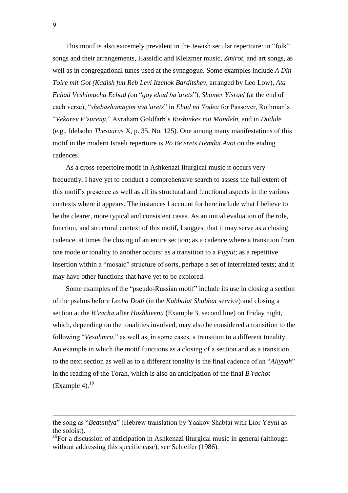This motif is also extremely prevalent in the Jewish secular repertoire: in "folk" songs and their arrangements, Hassidic and Kleizmer music, *Zmirot*, and art songs, as well as in congregational tunes used at the synagogue. Some examples include *A Din Toire mit Got (Kadish fun Reb Levi Itzchok Barditshev*, arranged by Leo Low), *Ata Echad Veshimacha Echad (*on "*goy ehad ba'arets*"), *Shomer Yisrael* (at the end of each verse), "*shebashamayim uva'arets*" in *Ehad mi Yodea* for Passover, Rothman's "*Vekarev P'zureny*," Avraham Goldfarb's *Roshinkes mit Mandeln*, and in *Dudule* (e.g., Idelsohn *Thesaurus* X, p. 35, No. 125). One among many manifestations of this motif in the modern Israeli repertoire is *Po Be'erets Hemdat Avot* on the ending cadences.

As a cross-repertoire motif in Ashkenazi liturgical music it occurs very frequently. I have yet to conduct a comprehensive search to assess the full extent of this motif's presence as well as all its structural and functional aspects in the various contexts where it appears. The instances I account for here include what I believe to be the clearer, more typical and consistent cases. As an initial evaluation of the role, function, and structural context of this motif, I suggest that it may serve as a closing cadence, at times the closing of an entire section; as a cadence where a transition from one mode or tonality to another occurs; as a transition to a *Piyyut*; as a repetitive insertion within a "mosaic" structure of sorts, perhaps a set of interrelated texts; and it may have other functions that have yet to be explored.

Some examples of the "pseudo-Russian motif" include its use in closing a section of the psalms before *Lecha Dodi* (in the *Kabbalat Shabbat* service) and closing a section at the *B'racha* after *Hashkivenu* (Example 3, second line) on Friday night, which, depending on the tonalities involved, may also be considered a transition to the following "*Vesahmru*," as well as, in some cases, a transition to a different tonality. An example in which the motif functions as a closing of a section and as a transition to the next section as well as to a different tonality is the final cadence of an "*Aliyyah*" in the reading of the Torah, which is also an anticipation of the final *B'rachot*  $(Example 4).$ <sup>19</sup>

 $\overline{a}$ 

the song as "*Bedumiya*" (Hebrew translation by Yaakov Shabtai with Lior Yeyni as the soloist).

<sup>&</sup>lt;sup>19</sup>For a discussion of anticipation in Ashkenazi liturgical music in general (although without addressing this specific case), see Schleifer (1986).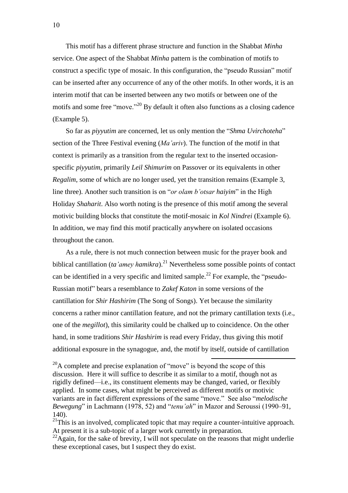This motif has a different phrase structure and function in the Shabbat *Minha* service. One aspect of the Shabbat *Minha* pattern is the combination of motifs to construct a specific type of mosaic. In this configuration, the "pseudo Russian" motif can be inserted after any occurrence of any of the other motifs. In other words, it is an interim motif that can be inserted between any two motifs or between one of the motifs and some free "move."<sup>20</sup> By default it often also functions as a closing cadence (Example 5).

So far as *piyyutim* are concerned, let us only mention the "*Shma Uvirchoteha*" section of the Three Festival evening (*Ma'ariv*). The function of the motif in that context is primarily as a transition from the regular text to the inserted occasionspecific *piyyutim*, primarily *Leil Shimurim* on Passover or its equivalents in other *Regalim*, some of which are no longer used, yet the transition remains (Example 3, line three). Another such transition is on "*or olam b'otsar haiyim*" in the High Holiday *Shaharit*. Also worth noting is the presence of this motif among the several motivic building blocks that constitute the motif-mosaic in *Kol Nindrei* (Example 6). In addition, we may find this motif practically anywhere on isolated occasions throughout the canon.

As a rule, there is not much connection between music for the prayer book and biblical cantillation (*ta'amey hamikra*). <sup>21</sup> Nevertheless some possible points of contact can be identified in a very specific and limited sample.<sup>22</sup> For example, the "pseudo-Russian motif" bears a resemblance to *Zakef Katon* in some versions of the cantillation for *Shir Hashirim* (The Song of Songs). Yet because the similarity concerns a rather minor cantillation feature, and not the primary cantillation texts (i.e., one of the *megillot*), this similarity could be chalked up to coincidence. On the other hand, in some traditions *Shir Hashirim* is read every Friday, thus giving this motif additional exposure in the synagogue, and, the motif by itself, outside of cantillation

 $^{20}$ A complete and precise explanation of "move" is beyond the scope of this discussion. Here it will suffice to describe it as similar to a motif, though not as rigidly defined—i.e., its constituent elements may be changed, varied, or flexibly applied. In some cases, what might be perceived as different motifs or motivic variants are in fact different expressions of the same "move." See also "*melodische Bewegung*" in Lachmann (1978, 52) and "*tenu'ah*" in Mazor and Seroussi (1990–91,  $140$ 

 $^{21}$ This is an involved, complicated topic that may require a counter-intuitive approach. At present it is a sub-topic of a larger work currently in preparation.

 $^{22}$ Again, for the sake of brevity, I will not speculate on the reasons that might underlie these exceptional cases, but I suspect they do exist.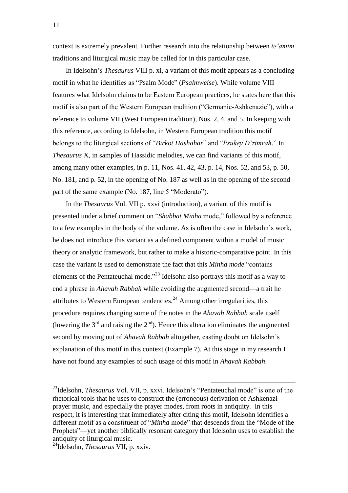context is extremely prevalent. Further research into the relationship between *te'amim* traditions and liturgical music may be called for in this particular case.

In Idelsohn's *Thesaurus* VIII p. xi, a variant of this motif appears as a concluding motif in what he identifies as "Psalm Mode" (*Psalmweise*). While volume VIII features what Idelsohn claims to be Eastern European practices, he states here that this motif is also part of the Western European tradition ("Germanic-Ashkenazic"), with a reference to volume VII (West European tradition), Nos. 2, 4, and 5. In keeping with this reference, according to Idelsohn, in Western European tradition this motif belongs to the liturgical sections of "*Birkot Hashahar*" and "*Psukey D'zimrah*." In *Thesaurus* X, in samples of Hassidic melodies, we can find variants of this motif, among many other examples, in p. 11, Nos. 41, 42, 43, p. 14, Nos. 52, and 53, p. 50, No. 181, and p. 52, in the opening of No. 187 as well as in the opening of the second part of the same example (No. 187, line 5 "Moderato").

In the *Thesaurus* Vol. VII p. xxvi (introduction), a variant of this motif is presented under a brief comment on "*Shabbat Minha* mode," followed by a reference to a few examples in the body of the volume. As is often the case in Idelsohn's work, he does not introduce this variant as a defined component within a model of music theory or analytic framework, but rather to make a historic-comparative point. In this case the variant is used to demonstrate the fact that this *Minha mode* "contains elements of the Pentateuchal mode."<sup>23</sup> Idelsohn also portrays this motif as a way to end a phrase in *Ahavah Rabbah* while avoiding the augmented second—a trait he attributes to Western European tendencies.<sup>24</sup> Among other irregularities, this procedure requires changing some of the notes in the *Ahavah Rabbah* scale itself (lowering the  $3<sup>rd</sup>$  and raising the  $2<sup>nd</sup>$ ). Hence this alteration eliminates the augmented second by moving out of *Ahavah Rabbah* altogether, casting doubt on Idelsohn's explanation of this motif in this context (Example 7). At this stage in my research I have not found any examples of such usage of this motif in *Ahavah Rabbah*.

1

<sup>24</sup>Idelsohn, *Thesaurus* VII, p. xxiv.

<sup>23</sup>Idelsohn*, Thesaurus* Vol. VII, p. xxvi. Idelsohn's "Pentateuchal mode" is one of the rhetorical tools that he uses to construct the (erroneous) derivation of Ashkenazi prayer music, and especially the prayer modes, from roots in antiquity. In this respect, it is interesting that immediately after citing this motif, Idelsohn identifies a different motif as a constituent of "*Minha* mode" that descends from the "Mode of the Prophets"—yet another biblically resonant category that Idelsohn uses to establish the antiquity of liturgical music.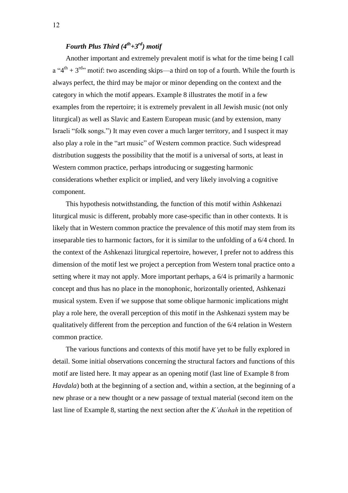# *Fourth Plus Third (4th+3rd) motif*

Another important and extremely prevalent motif is what for the time being I call  $a''4<sup>th</sup> + 3<sup>rd</sup>$ ; motif: two ascending skips—a third on top of a fourth. While the fourth is always perfect, the third may be major or minor depending on the context and the category in which the motif appears. Example 8 illustrates the motif in a few examples from the repertoire; it is extremely prevalent in all Jewish music (not only liturgical) as well as Slavic and Eastern European music (and by extension, many Israeli "folk songs.") It may even cover a much larger territory, and I suspect it may also play a role in the "art music" of Western common practice. Such widespread distribution suggests the possibility that the motif is a universal of sorts, at least in Western common practice, perhaps introducing or suggesting harmonic considerations whether explicit or implied, and very likely involving a cognitive component.

This hypothesis notwithstanding, the function of this motif within Ashkenazi liturgical music is different, probably more case-specific than in other contexts. It is likely that in Western common practice the prevalence of this motif may stem from its inseparable ties to harmonic factors, for it is similar to the unfolding of a 6/4 chord. In the context of the Ashkenazi liturgical repertoire, however, I prefer not to address this dimension of the motif lest we project a perception from Western tonal practice onto a setting where it may not apply. More important perhaps, a 6/4 is primarily a harmonic concept and thus has no place in the monophonic, horizontally oriented, Ashkenazi musical system. Even if we suppose that some oblique harmonic implications might play a role here, the overall perception of this motif in the Ashkenazi system may be qualitatively different from the perception and function of the 6/4 relation in Western common practice.

The various functions and contexts of this motif have yet to be fully explored in detail. Some initial observations concerning the structural factors and functions of this motif are listed here. It may appear as an opening motif (last line of Example 8 from *Havdala*) both at the beginning of a section and, within a section, at the beginning of a new phrase or a new thought or a new passage of textual material (second item on the last line of Example 8, starting the next section after the *K'dushah* in the repetition of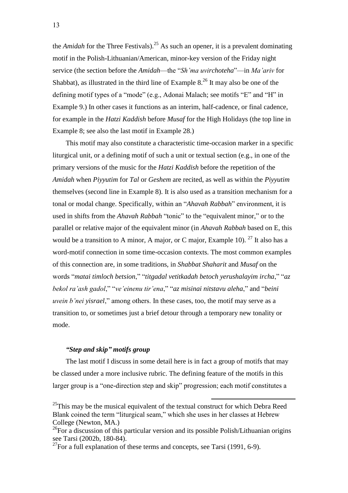the *Amidah* for the Three Festivals). <sup>25</sup> As such an opener, it is a prevalent dominating motif in the Polish-Lithuanian/American, minor-key version of the Friday night service (the section before the *Amidah*—the "*Sh'ma uvirchoteha*"—in *Ma'ariv* for Shabbat), as illustrated in the third line of Example  $8<sup>26</sup>$  It may also be one of the defining motif types of a "mode" (e.g., Adonai Malach; see motifs "E" and "H" in Example 9.) In other cases it functions as an interim, half-cadence, or final cadence, for example in the *Hatzi Kaddish* before *Musaf* for the High Holidays (the top line in Example 8; see also the last motif in Example 28.)

This motif may also constitute a characteristic time-occasion marker in a specific liturgical unit, or a defining motif of such a unit or textual section (e.g., in one of the primary versions of the music for the *Hatzi Kaddish* before the repetition of the *Amidah* when *Piyyutim* for *Tal* or *Geshem* are recited, as well as within the *Piyyutim*  themselves (second line in Example 8). It is also used as a transition mechanism for a tonal or modal change. Specifically, within an "*Ahavah Rabbah*" environment, it is used in shifts from the *Ahavah Rabbah* "tonic" to the "equivalent minor," or to the parallel or relative major of the equivalent minor (in *Ahavah Rabbah* based on E, this would be a transition to A minor, A major, or C major, Example 10). <sup>27</sup> It also has a word-motif connection in some time-occasion contexts. The most common examples of this connection are, in some traditions, in *Shabbat Shaharit* and *Musaf* on the words "*matai timloch betsion*," "*titgadal vetitkadah betoch yerushalayim ircha*," "*az bekol ra'ash gadol*," "*ve'einenu tir'ena*," "*az misinai nitstavu aleha*," and "*beini uvein b'nei yisrael*," among others. In these cases, too, the motif may serve as a transition to, or sometimes just a brief detour through a temporary new tonality or mode.

## *"Step and skip" motifs group*

The last motif I discuss in some detail here is in fact a group of motifs that may be classed under a more inclusive rubric. The defining feature of the motifs in this larger group is a "one-direction step and skip" progression; each motif constitutes a

 $^{25}$ This may be the musical equivalent of the textual construct for which Debra Reed Blank coined the term "liturgical seam," which she uses in her classes at Hebrew College (Newton, MA.)

<sup>&</sup>lt;sup>26</sup>For a discussion of this particular version and its possible Polish/Lithuanian origins see Tarsi (2002b, 180-84).

 $^{27}$ For a full explanation of these terms and concepts, see Tarsi (1991, 6-9).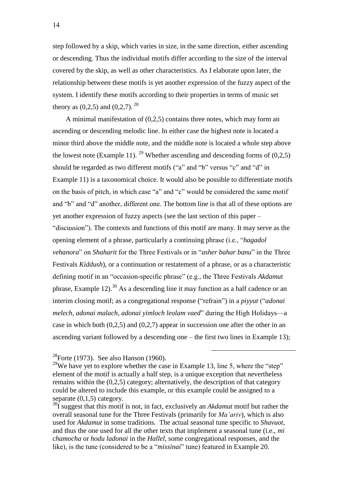step followed by a skip, which varies in size, in the same direction, either ascending or descending. Thus the individual motifs differ according to the size of the interval covered by the skip, as well as other characteristics. As I elaborate upon later, the relationship between these motifs is yet another expression of the fuzzy aspect of the system. I identify these motifs according to their properties in terms of music set theory as  $(0,2,5)$  and  $(0,2,7)$ . <sup>28</sup>

A minimal manifestation of (0,2,5) contains three notes, which may form an ascending or descending melodic line. In either case the highest note is located a minor third above the middle note, and the middle note is located a whole step above the lowest note (Example 11). <sup>29</sup> Whether ascending and descending forms of  $(0,2,5)$ should be regarded as two different motifs ("a" and "b" versus "c" and "d" in Example 11) is a taxonomical choice. It would also be possible to differentiate motifs on the basis of pitch, in which case "a" and "c" would be considered the same motif and "b" and "d" another, different one. The bottom line is that all of these options are yet another expression of fuzzy aspects (see the last section of this paper – "discussion"). The contexts and functions of this motif are many. It may serve as the opening element of a phrase, particularly a continuing phrase (i.e., "*hagadol vehanora*" on *Shaharit* for the Three Festivals or in "*asher bahar banu*" in the Three Festivals *Kiddush*), or a continuation or restatement of a phrase, or as a characteristic defining motif in an "occasion-specific phrase" (e.g., the Three Festivals *Akdamut* phrase, Example 12).<sup>30</sup> As a descending line it may function as a half cadence or an interim closing motif; as a congregational response ("refrain") in a *piyyut* ("*adonai melech, adonai malach, adonai yimloch leolam vaed*" during the High Holidays—a case in which both (0,2,5) and (0,2,7) appear in succession one after the other in an ascending variant followed by a descending one – the first two lines in Example 13);

 $^{28}$ Forte (1973). See also Hanson (1960).

<sup>&</sup>lt;sup>29</sup>We have yet to explore whether the case in Example 13, line 5, where the "step" element of the motif is actually a half step, is a unique exception that nevertheless remains within the (0,2,5) category; alternatively, the description of that category could be altered to include this example, or this example could be assigned to a separate  $(0,1,5)$  category.

<sup>30</sup>I suggest that this motif is not, in fact, exclusively an *Akdamut* motif but rather the overall seasonal tune for the Three Festivals (primarily for *Ma'ariv*), which is also used for *Akdamut* in some traditions. The actual seasonal tune specific to *Shavuot*, and thus the one used for all the other texts that implement a seasonal tune (i.e., *mi chamocha* or *hodu ladonai* in the *Hallel*, some congregational responses, and the like), is the tune (considered to be a "*missinai*" tune) featured in Example 20.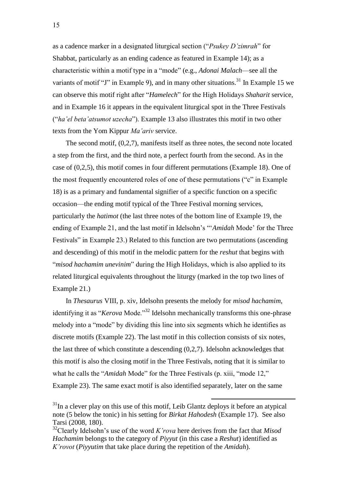as a cadence marker in a designated liturgical section ("*Psukey D'zimrah*" for Shabbat, particularly as an ending cadence as featured in Example 14); as a characteristic within a motif type in a "mode" (e.g., *Adonai Malach*—see all the variants of motif "J" in Example 9), and in many other situations.<sup>31</sup> In Example 15 we can observe this motif right after "*Hamelech*" for the High Holidays *Shaharit* service, and in Example 16 it appears in the equivalent liturgical spot in the Three Festivals ("*ha'el beta'atsumot uzecha*"). Example 13 also illustrates this motif in two other texts from the Yom Kippur *Ma'ariv* service.

The second motif, (0,2,7), manifests itself as three notes, the second note located a step from the first, and the third note, a perfect fourth from the second. As in the case of (0,2,5), this motif comes in four different permutations (Example 18). One of the most frequently encountered roles of one of these permutations ("c" in Example 18) is as a primary and fundamental signifier of a specific function on a specific occasion—the ending motif typical of the Three Festival morning services, particularly the *hatimot* (the last three notes of the bottom line of Example 19, the ending of Example 21, and the last motif in Idelsohn's "'*Amidah* Mode' for the Three Festivals" in Example 23.) Related to this function are two permutations (ascending and descending) of this motif in the melodic pattern for the *reshut* that begins with "*misod hachamim unevinim*" during the High Holidays, which is also applied to its related liturgical equivalents throughout the liturgy (marked in the top two lines of Example 21.)

In *Thesaurus* VIII, p. xiv, Idelsohn presents the melody for *misod hachamim*, identifying it as "*Kerova* Mode."<sup>32</sup> Idelsohn mechanically transforms this one-phrase melody into a "mode" by dividing this line into six segments which he identifies as discrete motifs (Example 22). The last motif in this collection consists of six notes, the last three of which constitute a descending (0,2,7). Idelsohn acknowledges that this motif is also the closing motif in the Three Festivals, noting that it is similar to what he calls the "*Amidah* Mode" for the Three Festivals (p. xiii, "mode 12," Example 23). The same exact motif is also identified separately, later on the same

 $31$ In a clever play on this use of this motif, Leib Glantz deploys it before an atypical note (5 below the tonic) in his setting for *Birkat Hahodesh* (Example 17). See also Tarsi (2008, 180).

<sup>32</sup>Clearly Idelsohn's use of the word *K'rova* here derives from the fact that *Misod Hachamim* belongs to the category of *Piyyut* (in this case a *Reshut*) identified as *K'rovot* (*Piyyutim* that take place during the repetition of the *Amidah*).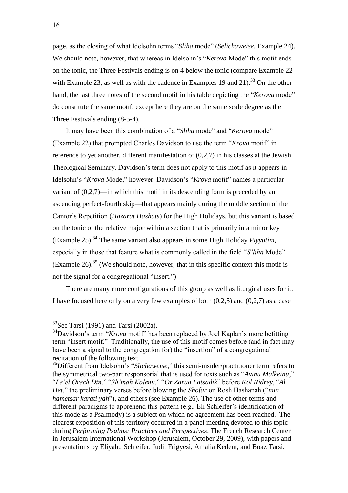page, as the closing of what Idelsohn terms "*Sliha* mode" (*Selichaweise*, Example 24). We should note, however, that whereas in Idelsohn's "*Kerova* Mode" this motif ends on the tonic, the Three Festivals ending is on 4 below the tonic (compare Example 22 with Example 23, as well as with the cadence in Examples 19 and 21).<sup>33</sup> On the other hand, the last three notes of the second motif in his table depicting the "*Kerova* mode" do constitute the same motif, except here they are on the same scale degree as the Three Festivals ending (8-5-4).

It may have been this combination of a "*Sliha* mode" and "*Kerova* mode" (Example 22) that prompted Charles Davidson to use the term "*Krova* motif" in reference to yet another, different manifestation of (0,2,7) in his classes at the Jewish Theological Seminary. Davidson's term does not apply to this motif as it appears in Idelsohn's "*Krova* Mode," however. Davidson's "*Krova* motif" names a particular variant of (0,2,7)—in which this motif in its descending form is preceded by an ascending perfect-fourth skip—that appears mainly during the middle section of the Cantor's Repetition (*Hazarat Hashats*) for the High Holidays, but this variant is based on the tonic of the relative major within a section that is primarily in a minor key (Example 25).<sup>34</sup> The same variant also appears in some High Holiday *Piyyutim*, especially in those that feature what is commonly called in the field "*S'liha* Mode" (Example 26).<sup>35</sup> (We should note, however, that in this specific context this motif is not the signal for a congregational "insert.")

There are many more configurations of this group as well as liturgical uses for it. I have focused here only on a very few examples of both (0,2,5) and (0,2,7) as a case

 $33$ See Tarsi (1991) and Tarsi (2002a).

<sup>34</sup>Davidson's term "*Krova* motif" has been replaced by Joel Kaplan's more befitting term "insert motif." Traditionally, the use of this motif comes before (and in fact may have been a signal to the congregation for) the "insertion" of a congregational recitation of the following text.

<sup>35</sup>Different from Idelsohn's "*Slichaweise*," this semi-insider/practitioner term refers to the symmetrical two-part responsorial that is used for texts such as "*Avinu Malkeinu*," "*Le'el Orech Din*," "*Sh'mah Kolenu*," "*Or Zarua Latsadik*" before *Kol Nidrey*, "*Al Het*," the preliminary verses before blowing the *Shofar* on Rosh Hashanah ("*min hametsar karati yah*"), and others (see Example 26). The use of other terms and different paradigms to apprehend this pattern (e.g., Eli Schleifer's identification of this mode as a Psalmody) is a subject on which no agreement has been reached. The clearest exposition of this territory occurred in a panel meeting devoted to this topic during *Performing Psalms: Practices and Perspectives*, The French Research Center in Jerusalem International Workshop (Jerusalem, October 29, 2009), with papers and presentations by Eliyahu Schleifer, Judit Frigyesi, Amalia Kedem, and Boaz Tarsi.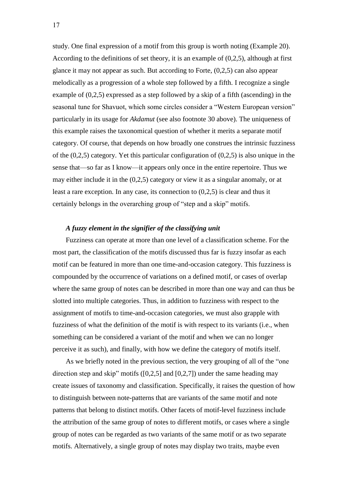study. One final expression of a motif from this group is worth noting (Example 20). According to the definitions of set theory, it is an example of (0,2,5), although at first glance it may not appear as such. But according to Forte, (0,2,5) can also appear melodically as a progression of a whole step followed by a fifth. I recognize a single example of (0,2,5) expressed as a step followed by a skip of a fifth (ascending) in the seasonal tune for Shavuot, which some circles consider a "Western European version" particularly in its usage for *Akdamut* (see also footnote 30 above). The uniqueness of this example raises the taxonomical question of whether it merits a separate motif category. Of course, that depends on how broadly one construes the intrinsic fuzziness of the (0,2,5) category. Yet this particular configuration of (0,2,5) is also unique in the sense that—so far as I know—it appears only once in the entire repertoire. Thus we may either include it in the (0,2,5) category or view it as a singular anomaly, or at least a rare exception. In any case, its connection to (0,2,5) is clear and thus it certainly belongs in the overarching group of "step and a skip" motifs.

### *A fuzzy element in the signifier of the classifying unit*

Fuzziness can operate at more than one level of a classification scheme. For the most part, the classification of the motifs discussed thus far is fuzzy insofar as each motif can be featured in more than one time-and-occasion category. This fuzziness is compounded by the occurrence of variations on a defined motif, or cases of overlap where the same group of notes can be described in more than one way and can thus be slotted into multiple categories. Thus, in addition to fuzziness with respect to the assignment of motifs to time-and-occasion categories, we must also grapple with fuzziness of what the definition of the motif is with respect to its variants (i.e., when something can be considered a variant of the motif and when we can no longer perceive it as such), and finally, with how we define the category of motifs itself.

As we briefly noted in the previous section, the very grouping of all of the "one direction step and skip" motifs  $([0,2,5]$  and  $[0,2,7]$ ) under the same heading may create issues of taxonomy and classification. Specifically, it raises the question of how to distinguish between note-patterns that are variants of the same motif and note patterns that belong to distinct motifs. Other facets of motif-level fuzziness include the attribution of the same group of notes to different motifs, or cases where a single group of notes can be regarded as two variants of the same motif or as two separate motifs. Alternatively, a single group of notes may display two traits, maybe even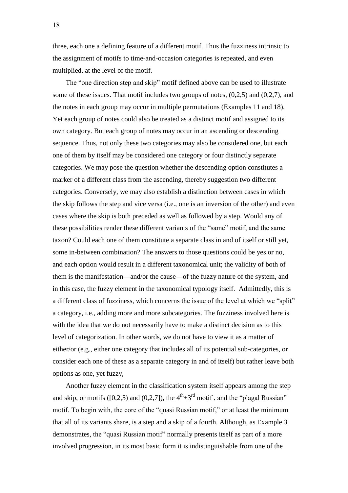three, each one a defining feature of a different motif. Thus the fuzziness intrinsic to the assignment of motifs to time-and-occasion categories is repeated, and even multiplied, at the level of the motif.

The "one direction step and skip" motif defined above can be used to illustrate some of these issues. That motif includes two groups of notes, (0,2,5) and (0,2,7), and the notes in each group may occur in multiple permutations (Examples 11 and 18). Yet each group of notes could also be treated as a distinct motif and assigned to its own category. But each group of notes may occur in an ascending or descending sequence. Thus, not only these two categories may also be considered one, but each one of them by itself may be considered one category or four distinctly separate categories. We may pose the question whether the descending option constitutes a marker of a different class from the ascending, thereby suggestion two different categories. Conversely, we may also establish a distinction between cases in which the skip follows the step and vice versa (i.e., one is an inversion of the other) and even cases where the skip is both preceded as well as followed by a step. Would any of these possibilities render these different variants of the "same" motif, and the same taxon? Could each one of them constitute a separate class in and of itself or still yet, some in-between combination? The answers to those questions could be yes or no, and each option would result in a different taxonomical unit; the validity of both of them is the manifestation—and/or the cause—of the fuzzy nature of the system, and in this case, the fuzzy element in the taxonomical typology itself. Admittedly, this is a different class of fuzziness, which concerns the issue of the level at which we "split" a category, i.e., adding more and more subcategories. The fuzziness involved here is with the idea that we do not necessarily have to make a distinct decision as to this level of categorization. In other words, we do not have to view it as a matter of either/or (e.g., either one category that includes all of its potential sub-categories, or consider each one of these as a separate category in and of itself) but rather leave both options as one, yet fuzzy,

Another fuzzy element in the classification system itself appears among the step and skip, or motifs ( $[0,2,5)$  and  $(0,2,7]$ ), the  $4<sup>th</sup>+3<sup>rd</sup>$  motif, and the "plagal Russian" motif. To begin with, the core of the "quasi Russian motif," or at least the minimum that all of its variants share, is a step and a skip of a fourth. Although, as Example 3 demonstrates, the "quasi Russian motif" normally presents itself as part of a more involved progression, in its most basic form it is indistinguishable from one of the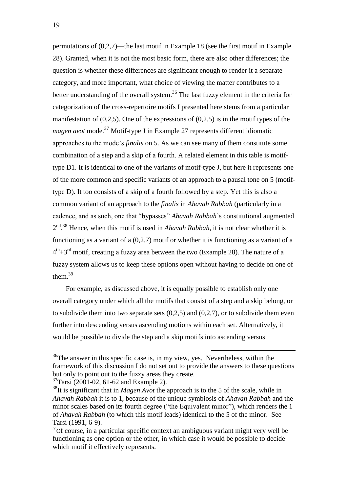permutations of (0,2,7)—the last motif in Example 18 (see the first motif in Example 28). Granted, when it is not the most basic form, there are also other differences; the question is whether these differences are significant enough to render it a separate category, and more important, what choice of viewing the matter contributes to a better understanding of the overall system.<sup>36</sup> The last fuzzy element in the criteria for categorization of the cross-repertoire motifs I presented here stems from a particular manifestation of (0,2,5). One of the expressions of (0,2,5) is in the motif types of the *magen avot* mode.<sup>37</sup> Motif-type J in Example 27 represents different idiomatic approaches to the mode's *finalis* on 5. As we can see many of them constitute some combination of a step and a skip of a fourth. A related element in this table is motiftype D1. It is identical to one of the variants of motif-type J, but here it represents one of the more common and specific variants of an approach to a pausal tone on 5 (motiftype D). It too consists of a skip of a fourth followed by a step. Yet this is also a common variant of an approach to the *finalis* in *Ahavah Rabbah* (particularly in a cadence, and as such, one that "bypasses" *Ahavah Rabbah*'s constitutional augmented 2<sup>nd 38</sup> Hence, when this motif is used in *Ahavah Rabbah*, it is not clear whether it is functioning as a variant of a (0,2,7) motif or whether it is functioning as a variant of a  $4<sup>th</sup>+3<sup>rd</sup>$  motif, creating a fuzzy area between the two (Example 28). The nature of a fuzzy system allows us to keep these options open without having to decide on one of them.<sup>39</sup>

For example, as discussed above, it is equally possible to establish only one overall category under which all the motifs that consist of a step and a skip belong, or to subdivide them into two separate sets  $(0,2,5)$  and  $(0,2,7)$ , or to subdivide them even further into descending versus ascending motions within each set. Alternatively, it would be possible to divide the step and a skip motifs into ascending versus

 $36$ The answer in this specific case is, in my view, yes. Nevertheless, within the framework of this discussion I do not set out to provide the answers to these questions but only to point out to the fuzzy areas they create.

<sup>37</sup>Tarsi (2001-02, 61-62 and Example 2).

<sup>38</sup>It is significant that in *Magen Avot* the approach is to the 5 of the scale, while in *Ahavah Rabbah* it is to 1, because of the unique symbiosis of *Ahavah Rabbah* and the minor scales based on its fourth degree ("the Equivalent minor"), which renders the 1 of *Ahavah Rabbah* (to which this motif leads) identical to the 5 of the minor. See Tarsi (1991, 6-9).

<sup>&</sup>lt;sup>39</sup>Of course, in a particular specific context an ambiguous variant might very well be functioning as one option or the other, in which case it would be possible to decide which motif it effectively represents.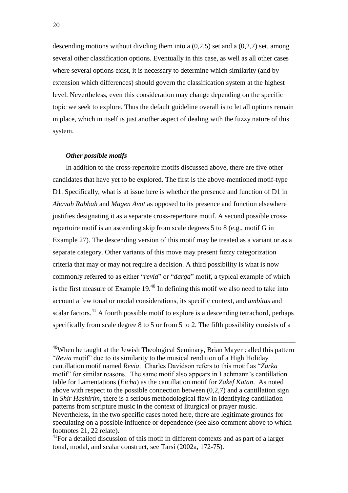descending motions without dividing them into a (0,2,5) set and a (0,2,7) set, among several other classification options. Eventually in this case, as well as all other cases where several options exist, it is necessary to determine which similarity (and by extension which differences) should govern the classification system at the highest level. Nevertheless, even this consideration may change depending on the specific topic we seek to explore. Thus the default guideline overall is to let all options remain in place, which in itself is just another aspect of dealing with the fuzzy nature of this system.

#### *Other possible motifs*

In addition to the cross-repertoire motifs discussed above, there are five other candidates that have yet to be explored. The first is the above-mentioned motif-type D1. Specifically, what is at issue here is whether the presence and function of D1 in *Ahavah Rabbah* and *Magen Avot* as opposed to its presence and function elsewhere justifies designating it as a separate cross-repertoire motif. A second possible crossrepertoire motif is an ascending skip from scale degrees 5 to 8 (e.g., motif G in Example 27). The descending version of this motif may be treated as a variant or as a separate category. Other variants of this move may present fuzzy categorization criteria that may or may not require a decision. A third possibility is what is now commonly referred to as either "*revia*" or "*darga*" motif, a typical example of which is the first measure of Example  $19<sup>{40}</sup>$  In defining this motif we also need to take into account a few tonal or modal considerations, its specific context, and *ambitus* and scalar factors.<sup>41</sup> A fourth possible motif to explore is a descending tetrachord, perhaps specifically from scale degree 8 to 5 or from 5 to 2. The fifth possibility consists of a

 $40$ When he taught at the Jewish Theological Seminary, Brian Mayer called this pattern "*Revia* motif" due to its similarity to the musical rendition of a High Holiday cantillation motif named *Revia*. Charles Davidson refers to this motif as "*Zarka*  motif" for similar reasons. The same motif also appears in Lachmann's cantillation table for Lamentations (*Eicha*) as the cantillation motif for *Zakef Katan*. As noted above with respect to the possible connection between  $(0,2,7)$  and a cantillation sign in *Shir Hashirim*, there is a serious methodological flaw in identifying cantillation patterns from scripture music in the context of liturgical or prayer music. Nevertheless, in the two specific cases noted here, there are legitimate grounds for speculating on a possible influence or dependence (see also comment above to which footnotes 21, 22 relate).

<sup>&</sup>lt;sup>41</sup>For a detailed discussion of this motif in different contexts and as part of a larger tonal, modal, and scalar construct, see Tarsi (2002a, 172-75).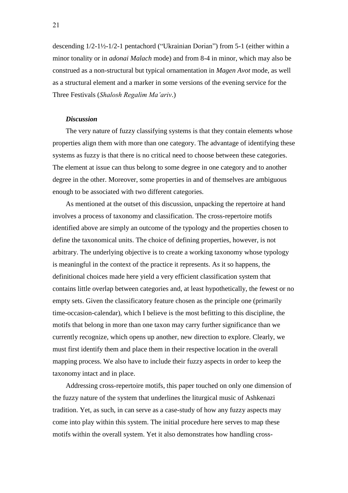descending 1/2-1½-1/2-1 pentachord ("Ukrainian Dorian") from 5-1 (either within a minor tonality or in *adonai Malach* mode) and from 8-4 in minor, which may also be construed as a non-structural but typical ornamentation in *Magen Avot* mode, as well as a structural element and a marker in some versions of the evening service for the Three Festivals (*Shalosh Regalim Ma'ariv*.)

#### *Discussion*

The very nature of fuzzy classifying systems is that they contain elements whose properties align them with more than one category. The advantage of identifying these systems as fuzzy is that there is no critical need to choose between these categories. The element at issue can thus belong to some degree in one category and to another degree in the other. Moreover, some properties in and of themselves are ambiguous enough to be associated with two different categories.

As mentioned at the outset of this discussion, unpacking the repertoire at hand involves a process of taxonomy and classification. The cross-repertoire motifs identified above are simply an outcome of the typology and the properties chosen to define the taxonomical units. The choice of defining properties, however, is not arbitrary. The underlying objective is to create a working taxonomy whose typology is meaningful in the context of the practice it represents. As it so happens, the definitional choices made here yield a very efficient classification system that contains little overlap between categories and, at least hypothetically, the fewest or no empty sets. Given the classificatory feature chosen as the principle one (primarily time-occasion-calendar), which I believe is the most befitting to this discipline, the motifs that belong in more than one taxon may carry further significance than we currently recognize, which opens up another, new direction to explore. Clearly, we must first identify them and place them in their respective location in the overall mapping process. We also have to include their fuzzy aspects in order to keep the taxonomy intact and in place.

Addressing cross-repertoire motifs, this paper touched on only one dimension of the fuzzy nature of the system that underlines the liturgical music of Ashkenazi tradition. Yet, as such, in can serve as a case-study of how any fuzzy aspects may come into play within this system. The initial procedure here serves to map these motifs within the overall system. Yet it also demonstrates how handling cross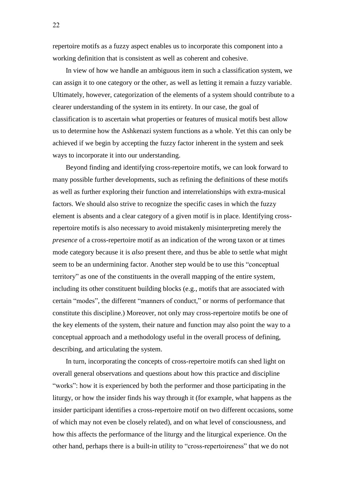repertoire motifs as a fuzzy aspect enables us to incorporate this component into a working definition that is consistent as well as coherent and cohesive.

In view of how we handle an ambiguous item in such a classification system, we can assign it to one category or the other, as well as letting it remain a fuzzy variable. Ultimately, however, categorization of the elements of a system should contribute to a clearer understanding of the system in its entirety. In our case, the goal of classification is to ascertain what properties or features of musical motifs best allow us to determine how the Ashkenazi system functions as a whole. Yet this can only be achieved if we begin by accepting the fuzzy factor inherent in the system and seek ways to incorporate it into our understanding.

Beyond finding and identifying cross-repertoire motifs, we can look forward to many possible further developments, such as refining the definitions of these motifs as well as further exploring their function and interrelationships with extra-musical factors. We should also strive to recognize the specific cases in which the fuzzy element is absents and a clear category of a given motif is in place. Identifying crossrepertoire motifs is also necessary to avoid mistakenly misinterpreting merely the *presence* of a cross-repertoire motif as an indication of the wrong taxon or at times mode category because it is *also* present there, and thus be able to settle what might seem to be an undermining factor. Another step would be to use this "conceptual territory" as one of the constituents in the overall mapping of the entire system, including its other constituent building blocks (e.g., motifs that are associated with certain "modes", the different "manners of conduct," or norms of performance that constitute this discipline.) Moreover, not only may cross-repertoire motifs be one of the key elements of the system, their nature and function may also point the way to a conceptual approach and a methodology useful in the overall process of defining, describing, and articulating the system.

In turn, incorporating the concepts of cross-repertoire motifs can shed light on overall general observations and questions about how this practice and discipline "works": how it is experienced by both the performer and those participating in the liturgy, or how the insider finds his way through it (for example, what happens as the insider participant identifies a cross-repertoire motif on two different occasions, some of which may not even be closely related), and on what level of consciousness, and how this affects the performance of the liturgy and the liturgical experience. On the other hand, perhaps there is a built-in utility to "cross-repertoireness" that we do not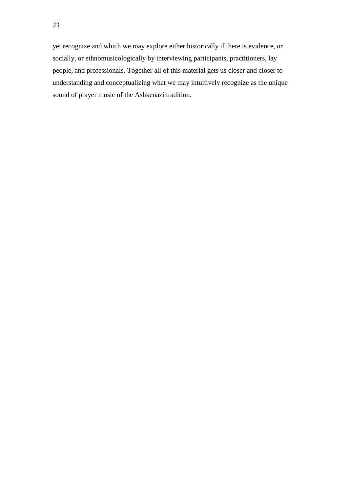yet recognize and which we may explore either historically if there is evidence, or socially, or ethnomusicologically by interviewing participants, practitioners, lay people, and professionals. Together all of this material gets us closer and closer to understanding and conceptualizing what we may intuitively recognize as the unique sound of prayer music of the Ashkenazi tradition.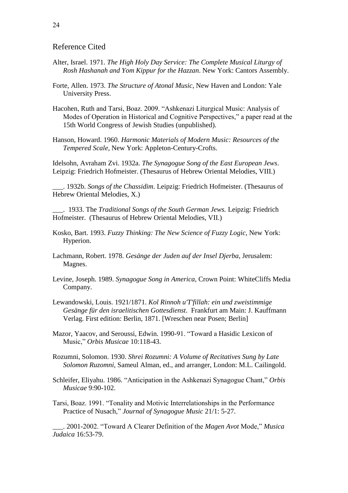## Reference Cited

- Alter, Israel. 1971. *The High Holy Day Service: The Complete Musical Liturgy of Rosh Hashanah and Yom Kippur for the Hazzan*. New York: Cantors Assembly.
- Forte, Allen. 1973. *The Structure of Atonal Music*, New Haven and London: Yale University Press.
- Hacohen, Ruth and Tarsi, Boaz. 2009. "Ashkenazi Liturgical Music: Analysis of Modes of Operation in Historical and Cognitive Perspectives," a paper read at the 15th World Congress of Jewish Studies (unpublished).

Hanson, Howard. 1960. *Harmonic Materials of Modern Music: Resources of the Tempered Scale*, New York: Appleton-Century-Crofts.

Idelsohn, Avraham Zvi. 1932a. *The Synagogue Song of the East European Jews*. Leipzig: Friedrich Hofmeister. (Thesaurus of Hebrew Oriental Melodies, VIII.)

\_\_\_. 1932b. *Songs of the Chassidim*. Leipzig: Friedrich Hofmeister. (Thesaurus of Hebrew Oriental Melodies, X.)

\_\_\_. 1933. The *Traditional Songs of the South German Jews.* Leipzig: Friedrich Hofmeister. (Thesaurus of Hebrew Oriental Melodies, VII.)

- Kosko, Bart. 1993. *Fuzzy Thinking: The New Science of Fuzzy Logic*, New York: Hyperion.
- Lachmann, Robert. 1978. *Gesänge der Juden auf der Insel Djerba*, Jerusalem: Magnes.
- Levine, Joseph. 1989. *Synagogue Song in America*, Crown Point: WhiteCliffs Media Company.
- Lewandowski, Louis. 1921/1871. *Kol Rinnoh u'T'fillah: ein und zweistimmige Gesänge für den israelitischen Gottesdienst*. Frankfurt am Main: J. Kauffmann Verlag. First edition: Berlin, 1871. [Wreschen near Posen; Berlin]
- Mazor, Yaacov, and Seroussi, Edwin. 1990-91. "Toward a Hasidic Lexicon of Music," *Orbis Musicae* 10:118-43.
- Rozumni, Solomon. 1930. *Shrei Rozumni: A Volume of Recitatives Sung by Late Solomon Ruzomni,* Sameul Alman, ed., and arranger, London: M.L. Cailingold.
- Schleifer, Eliyahu. 1986. "Anticipation in the Ashkenazi Synagogue Chant," *Orbis Musicae* 9:90-102.
- Tarsi, Boaz. 1991. "Tonality and Motivic Interrelationships in the Performance Practice of Nusach," *Journal of Synagogue Music* 21/1: 5-27.

\_\_\_. 2001-2002. "Toward A Clearer Definition of the *Magen Avot* Mode," *Musica Judaica* 16:53-79.